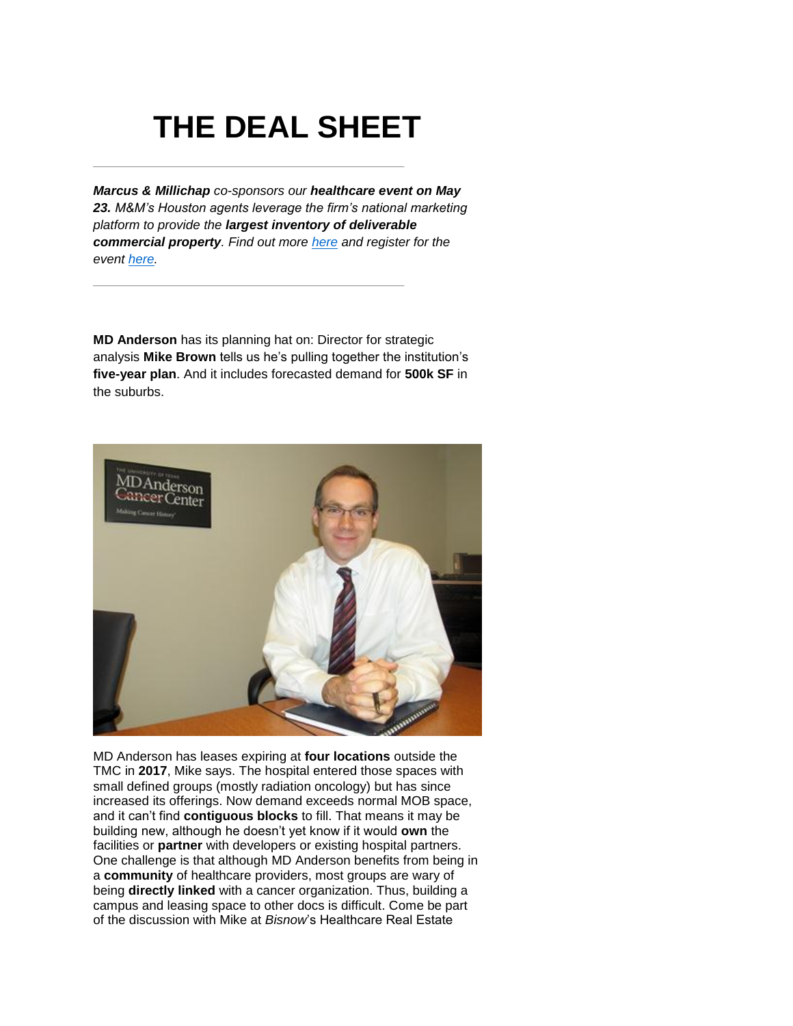# **THE DEAL SHEET**

*Marcus & Millichap co-sponsors our healthcare event on May 23. M&M's Houston agents leverage the firm's national marketing platform to provide the largest inventory of deliverable commercial property. Find out more [here](http://app.newsletter.bisnow.com/e/er?s=2636&lid=6119&elq=cb6c93ba18524a57aeff55332e1657ab) and register for the event [here.](http://www.cvent.com/events/houston-healthcare-real-estate-summit/event-summary-ef479abac33d44b1ab95e0e11bdf03b2.aspx?elq=cb6c93ba18524a57aeff55332e1657ab&elqCampaignId=731)*

**MD Anderson** has its planning hat on: Director for strategic analysis **Mike Brown** tells us he's pulling together the institution's **five-year plan**. And it includes forecasted demand for **500k SF** in the suburbs.



MD Anderson has leases expiring at **four locations** outside the TMC in **2017**, Mike says. The hospital entered those spaces with small defined groups (mostly radiation oncology) but has since increased its offerings. Now demand exceeds normal MOB space, and it can't find **contiguous blocks** to fill. That means it may be building new, although he doesn't yet know if it would **own** the facilities or **partner** with developers or existing hospital partners. One challenge is that although MD Anderson benefits from being in a **community** of healthcare providers, most groups are wary of being **directly linked** with a cancer organization. Thus, building a campus and leasing space to other docs is difficult. Come be part of the discussion with Mike at *Bisnow*'s Healthcare Real Estate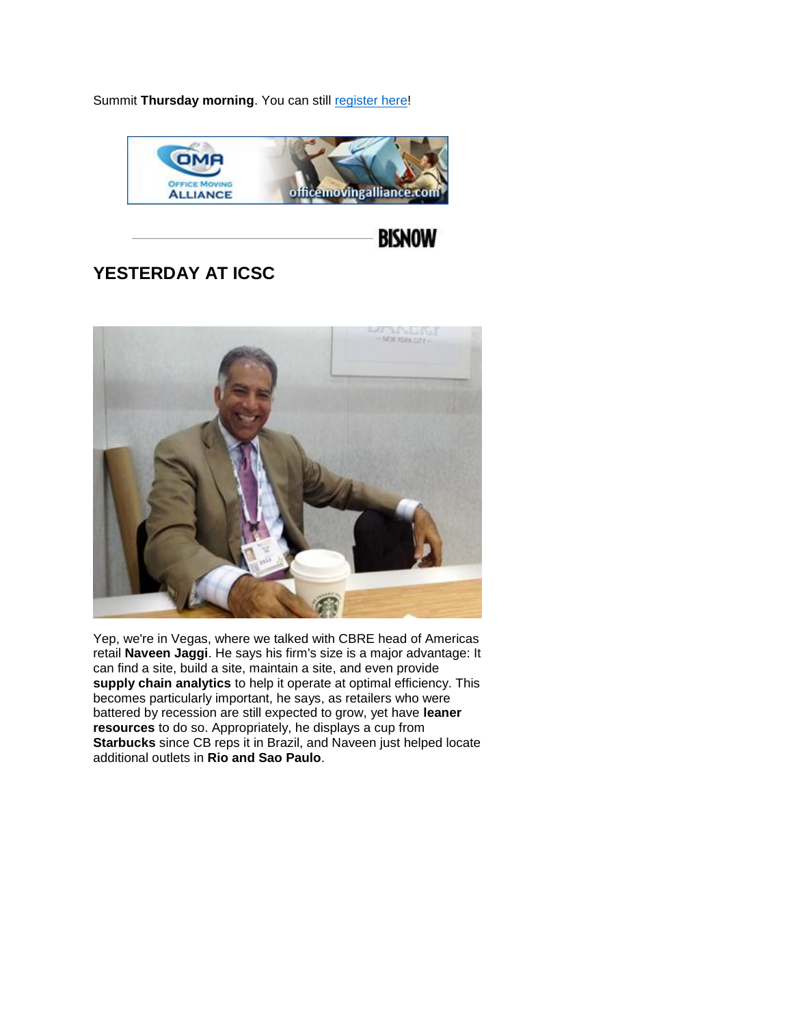Summit Thursday morning. You can still [register here!](http://www.cvent.com/events/houston-healthcare-real-estate-summit/event-summary-ef479abac33d44b1ab95e0e11bdf03b2.aspx?elq=cb6c93ba18524a57aeff55332e1657ab&elqCampaignId=731)



**BISNOW** 

## **YESTERDAY AT ICSC**



Yep, we're in Vegas, where we talked with CBRE head of Americas retail **Naveen Jaggi**. He says his firm's size is a major advantage: It can find a site, build a site, maintain a site, and even provide **supply chain analytics** to help it operate at optimal efficiency. This becomes particularly important, he says, as retailers who were battered by recession are still expected to grow, yet have **leaner resources** to do so. Appropriately, he displays a cup from **Starbucks** since CB reps it in Brazil, and Naveen just helped locate additional outlets in **Rio and Sao Paulo**.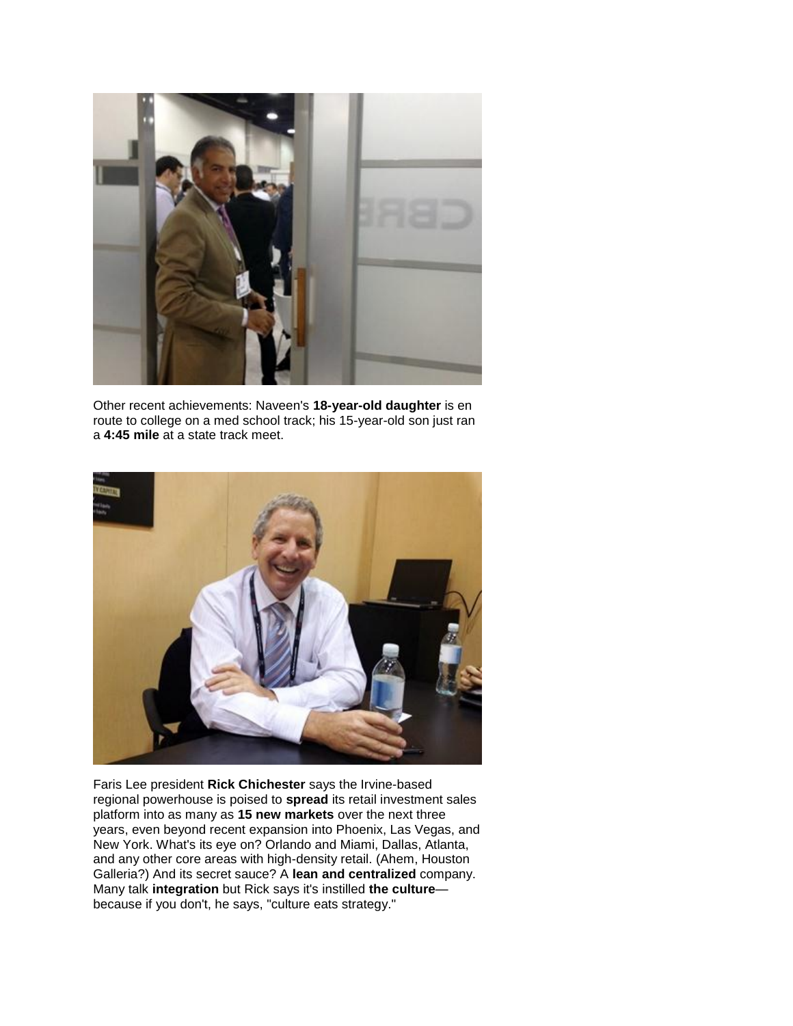

Other recent achievements: Naveen's **18-year-old daughter** is en route to college on a med school track; his 15-year-old son just ran a **4:45 mile** at a state track meet.



Faris Lee president **Rick Chichester** says the Irvine-based regional powerhouse is poised to **spread** its retail investment sales platform into as many as **15 new markets** over the next three years, even beyond recent expansion into Phoenix, Las Vegas, and New York. What's its eye on? Orlando and Miami, Dallas, Atlanta, and any other core areas with high-density retail. (Ahem, Houston Galleria?) And its secret sauce? A **lean and centralized** company. Many talk **integration** but Rick says it's instilled **the culture** because if you don't, he says, "culture eats strategy."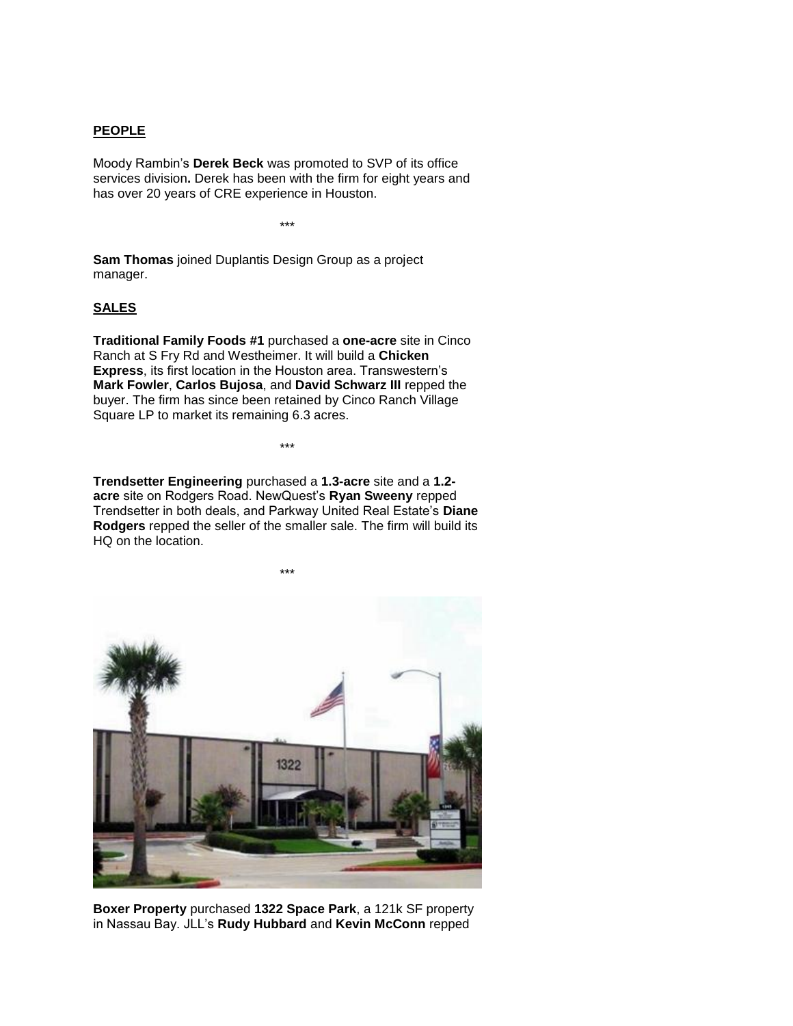#### **PEOPLE**

Moody Rambin's **Derek Beck** was promoted to SVP of its office services division**.** Derek has been with the firm for eight years and has over 20 years of CRE experience in Houston.

\*\*\*

**Sam Thomas** joined Duplantis Design Group as a project manager.

#### **SALES**

**Traditional Family Foods #1** purchased a **one-acre** site in Cinco Ranch at S Fry Rd and Westheimer. It will build a **Chicken Express**, its first location in the Houston area. Transwestern's **Mark Fowler**, **Carlos Bujosa**, and **David Schwarz III** repped the buyer. The firm has since been retained by Cinco Ranch Village Square LP to market its remaining 6.3 acres.

**Trendsetter Engineering** purchased a **1.3-acre** site and a **1.2 acre** site on Rodgers Road. NewQuest's **Ryan Sweeny** repped Trendsetter in both deals, and Parkway United Real Estate's **Diane Rodgers** repped the seller of the smaller sale. The firm will build its HQ on the location.

\*\*\*



**Boxer Property** purchased **1322 Space Park**, a 121k SF property in Nassau Bay. JLL's **Rudy Hubbard** and **Kevin McConn** repped